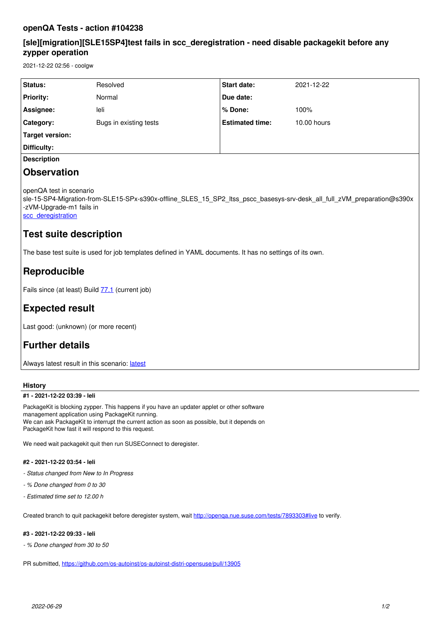### **openQA Tests - action #104238**

### **[sle][migration][SLE15SP4]test fails in scc\_deregistration - need disable packagekit before any zypper operation**

2021-12-22 02:56 - coolgw

| <b>Status:</b>     | Resolved               | <b>Start date:</b>     | 2021-12-22  |
|--------------------|------------------------|------------------------|-------------|
| <b>Priority:</b>   | Normal                 | Due date:              |             |
| Assignee:          | leli                   | % Done:                | 100%        |
| Category:          | Bugs in existing tests | <b>Estimated time:</b> | 10.00 hours |
| Target version:    |                        |                        |             |
| Difficulty:        |                        |                        |             |
| <b>Description</b> |                        |                        |             |

### **Observation**

openQA test in scenario

sle-15-SP4-Migration-from-SLE15-SPx-s390x-offline\_SLES\_15\_SP2\_ltss\_pscc\_basesys-srv-desk\_all\_full\_zVM\_preparation@s390x -zVM-Upgrade-m1 fails in

[scc\\_deregistration](https://openqa.suse.de/tests/7888595/modules/scc_deregistration/steps/13)

### **Test suite description**

The base test suite is used for job templates defined in YAML documents. It has no settings of its own.

# **Reproducible**

Fails since (at least) Build **77.1** (current job)

## **Expected result**

Last good: (unknown) (or more recent)

# **Further details**

Always [latest](https://openqa.suse.de/tests/latest?arch=s390x&distri=sle&flavor=Migration-from-SLE15-SPx&machine=s390x-zVM-Upgrade-m1&test=offline_SLES_15_SP2_ltss_pscc_basesys-srv-desk_all_full_zVM_preparation&version=15-SP4) result in this scenario: latest

#### **History**

#### **#1 - 2021-12-22 03:39 - leli**

PackageKit is blocking zypper. This happens if you have an updater applet or other software management application using PackageKit running. We can ask PackageKit to interrupt the current action as soon as possible, but it depends on PackageKit how fast it will respond to this request.

We need wait packagekit quit then run SUSEConnect to deregister.

#### **#2 - 2021-12-22 03:54 - leli**

- *Status changed from New to In Progress*
- *% Done changed from 0 to 30*
- *Estimated time set to 12.00 h*

Created branch to quit packagekit before deregister system, wait http://openga.nue.suse.com/tests/7893303#live to verify.

#### **#3 - 2021-12-22 09:33 - leli**

*- % Done changed from 30 to 50*

PR submitted, <https://github.com/os-autoinst/os-autoinst-distri-opensuse/pull/13905>